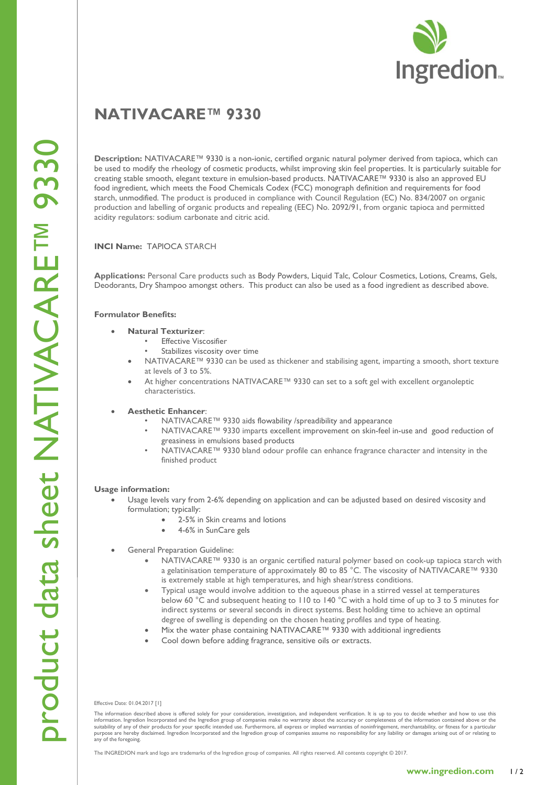# **NATIVACARE ™ 93 3 0**

Description: NATIVACARE<sup>™</sup> 9330 is a non-ionic, certified organic natural polymer derived from tapioca, which can be used to modify the rheology of cosmetic products, whilst improving skin feel properties. It is particularly suitable for creating stable smooth, elegant texture in emulsion -based products. NATIVACARE™ 9330 is also an approved EU food ingredient, which meets the Food Chemicals Codex (FCC) monograph definition and requirements for food starch, unmodified. The product is produced in compliance with Council Regulation (EC) No. 834/2007 on organic production and labelling of organic products and repealing (EEC) No. 2092/91, from organic tapioca and permitted acidity regulators: sodium carbonate and citric acid.

## **INCI Name:** TAPIOCA STARCH

**Applications:** Personal Care products such as Body Powders, Liquid Talc, Colour Cosmetics, Lotions, Creams, Gels, Deodorants, Dry Shampoo amongst others. This product can also be used as a food ingredient as described above.

## **Formulator Benefits :**

- **Natural Texturizer**:
	- **Effective Viscosifier**
	- Stabilizes viscosity over time
	- NATIVACARE™ 9330 can be used as thickener and stabilising agent, imparting a smooth, short texture at levels of 3 to 5%.
	- At higher concentrations NATIVACARE™ 9330 can set to a soft gel with excellent organoleptic characteristics .

## **Aesthetic Enhancer**:

- NATIVACARE™ 9330 aids flowability /spreadibility and appearance
- NATIVACARE™ 9330 imparts excellent improvement on skin -feel in -use and good reduction of greasiness in emulsions based products
- NATIVACARE™ 9330 bland odour profile can enhance fragrance character and intensity in the finished product

## **Usage information:**

- Usage levels vary from 2 -6% depending on application and can be adjusted based on desired viscosity and formulation; typically:
	- 2-5% in Skin creams and lotions
		- 4-6% in SunCare gels
- General Preparation Guideline:
	- NATIVACARE™ 9330 is an organic certified natural polymer based on cook -up tapioca starch with a gelatinisation temperature of approximately 80 to 85 °C. The viscosity of NATIVACARE™ 9330 is extremely stable at high temperatures, and high shear/stress conditions.
	- Typical usage would involve addition to the aqueous phase in a stirred vessel at temperatures below 60 °C and subsequent heating to 110 to 140 °C with a hold time of up to 3 to 5 minutes for indirect systems or several seconds in direct systems. Best holding time to achieve an optimal degree of swelling is depending on the chosen heating profiles and type of heating.
	- Mix the water phase containing NATIVACARE™ 9330 with additional ingredients
	- Cool down before adding fragrance, sensitive oils or extracts.

Effective Date: 01.0 4.201 7 [1]

The information described above is offered solely for your consideration, investigation, and independent verification. It is up to you to decide whether and how to use this information. Ingredion Incorporated and the Ingredion group of companies make no warranty about the accuracy or completeness of the information contained above or the<br>suitabilty of any of their products for your specific i any of the foregoing.

The INGREDION mark and logo are trademarks of the Ingredion group of companies. All rights reserved. All contents copyright © 201 7 .